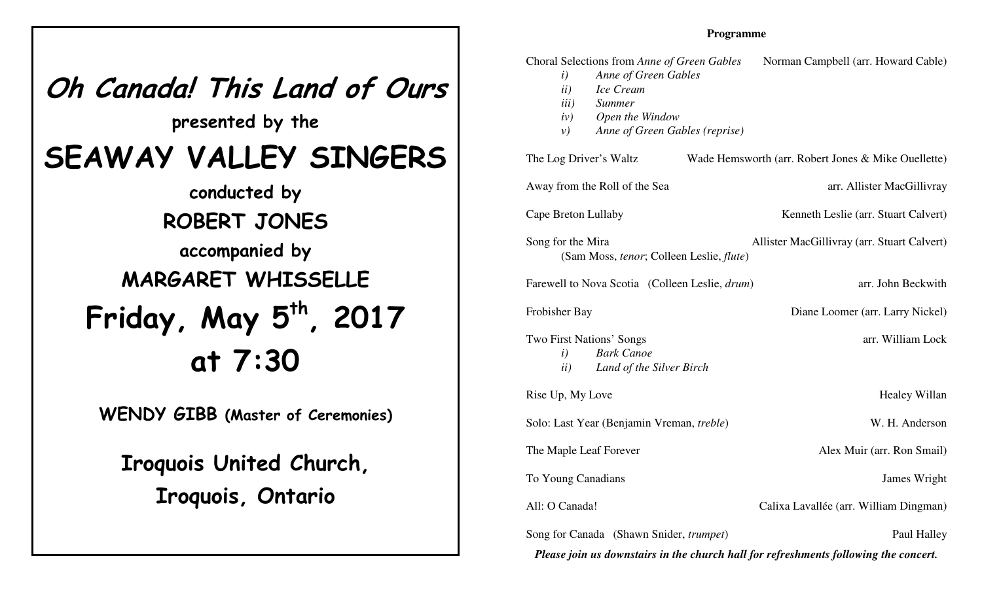## **Oh Canada! This Land of Ourspresented by theSEAWAY VALLEY SINGERSconducted byROBERT JONES accompanied byMARGARET WHISSELLE Friday, May 5th, <sup>2017</sup>at 7:30WENDY GIBB (Master of Ceremonies)**

**Iroquois United Church,Iroquois, Ontario**

## **Programme**

| Choral Selections from Anne of Green Gables<br>Anne of Green Gables<br>$\left(i\right)$<br>ii)<br>Ice Cream<br>iii)<br><b>Summer</b><br>Open the Window<br>iv)<br>Anne of Green Gables (reprise)<br>$\nu$ ) | Norman Campbell (arr. Howard Cable)                 |
|-------------------------------------------------------------------------------------------------------------------------------------------------------------------------------------------------------------|-----------------------------------------------------|
| The Log Driver's Waltz                                                                                                                                                                                      | Wade Hemsworth (arr. Robert Jones & Mike Ouellette) |
| Away from the Roll of the Sea                                                                                                                                                                               | arr. Allister MacGillivray                          |
| Cape Breton Lullaby                                                                                                                                                                                         | Kenneth Leslie (arr. Stuart Calvert)                |
| Song for the Mira<br>(Sam Moss, tenor; Colleen Leslie, flute)                                                                                                                                               | Allister MacGillivray (arr. Stuart Calvert)         |
| Farewell to Nova Scotia (Colleen Leslie, drum)                                                                                                                                                              | arr. John Beckwith                                  |
| Frobisher Bay                                                                                                                                                                                               | Diane Loomer (arr. Larry Nickel)                    |
| Two First Nations' Songs<br><b>Bark Canoe</b><br>$\left(i\right)$<br>Land of the Silver Birch<br>ii)                                                                                                        | arr. William Lock                                   |
| Rise Up, My Love                                                                                                                                                                                            | Healey Willan                                       |
| Solo: Last Year (Benjamin Vreman, treble)                                                                                                                                                                   | W. H. Anderson                                      |
| The Maple Leaf Forever                                                                                                                                                                                      | Alex Muir (arr. Ron Smail)                          |
| To Young Canadians                                                                                                                                                                                          | James Wright                                        |
| All: O Canada!                                                                                                                                                                                              | Calixa Lavallée (arr. William Dingman)              |
| Song for Canada (Shawn Snider, trumpet)<br>Please join us downstairs in the church hall for refreshments following the concert.                                                                             | Paul Halley                                         |